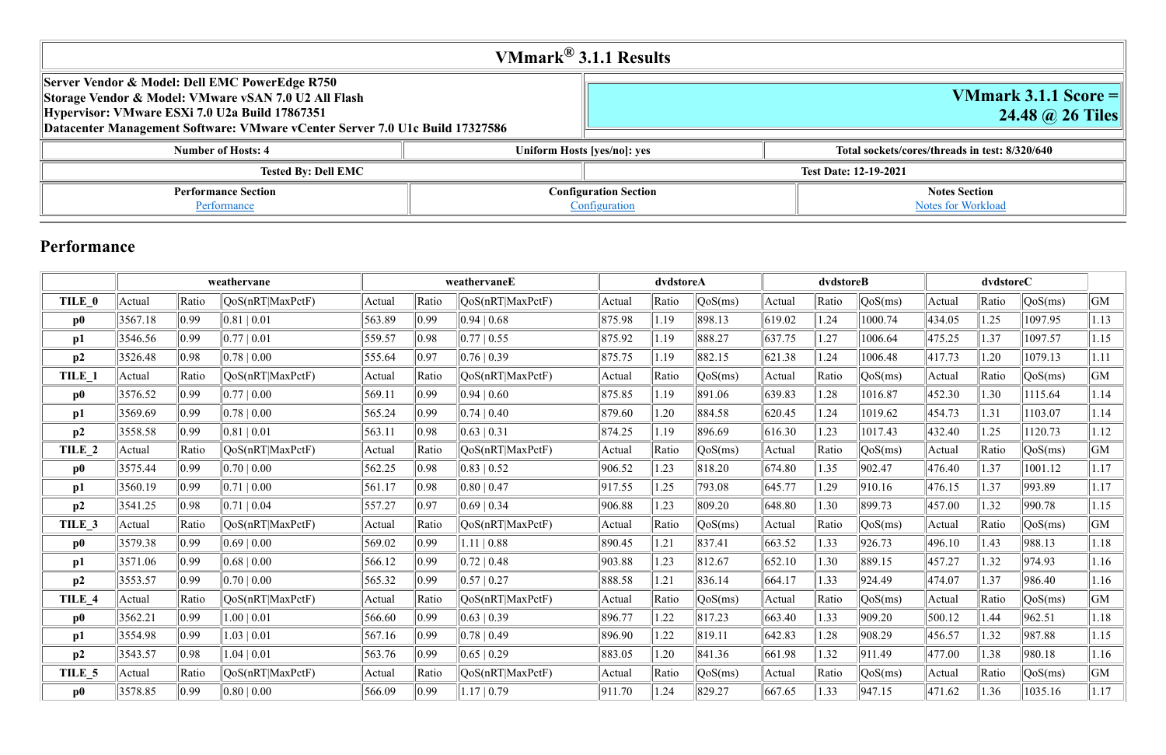|                                                                                                                                                                                                                                          | VMmark $^{\circledR}$ 3.1.1 Results           |                              |
|------------------------------------------------------------------------------------------------------------------------------------------------------------------------------------------------------------------------------------------|-----------------------------------------------|------------------------------|
| Server Vendor & Model: Dell EMC PowerEdge R750<br>Storage Vendor & Model: VMware vSAN 7.0 U2 All Flash<br>Hypervisor: VMware ESXi 7.0 U2a Build 17867351<br>Datacenter Management Software: VMware vCenter Server 7.0 U1c Build 17327586 |                                               |                              |
| <b>Number of Hosts: 4</b>                                                                                                                                                                                                                | Uniform Hosts [yes/no]: yes                   | Total sockets/d              |
| <b>Tested By: Dell EMC</b>                                                                                                                                                                                                               |                                               | <b>Test Date: 12-19-2021</b> |
| <b>Performance Section</b><br>Performance                                                                                                                                                                                                | <b>Configuration Section</b><br>Configuration |                              |

# **VMmark 3.1.1 Score = 24.48 @ 26 Tiles**

#### **Number 1 Room Exterior Sockets/cores/threads in test: 8/320/640**

# **Notes Section** Notes for Workload

## **Performance**

|               |         |                | weathervane                      |        |                | weathervaneE            |        | dvdstoreA |         |        | dvdstoreB |                  |        | dvdstoreC |                  |      |
|---------------|---------|----------------|----------------------------------|--------|----------------|-------------------------|--------|-----------|---------|--------|-----------|------------------|--------|-----------|------------------|------|
| TILE 0        | Actual  | Ratio          | QoS(nRT MaxPctF)                 | Actual | Ratio          | QoS(nRT MaxPctF)        | Actual | Ratio     | QoS(ms) | Actual | Ratio     | $\sqrt{QoS(ms)}$ | Actual | Ratio     | $\sqrt{QoS(ms)}$ | GM   |
| $\bf p0$      | 3567.18 | $ 0.99\rangle$ | 0.81 0.01                        | 563.89 | 0.99           | 0.94 0.68               | 875.98 | 1.19      | 898.13  | 619.02 | 1.24      | 1000.74          | 434.05 | 1.25      | 1097.95          | 1.13 |
| p1            | 3546.56 | $ 0.99\rangle$ | 0.77   0.01                      | 559.57 | 0.98           | $\parallel$ 0.77   0.55 | 875.92 | 1.19      | 888.27  | 637.75 | 1.27      | 1006.64          | 475.25 | 1.37      | 1097.57          | 1.15 |
| p2            | 3526.48 | 0.98           | 0.78   0.00                      | 555.64 | 0.97           | 0.76 0.39               | 875.75 | 1.19      | 882.15  | 621.38 | 1.24      | 1006.48          | 417.73 | 1.20      | 1079.13          | 1.11 |
| TILE 1        | Actual  | Ratio          | QoS(nRT MaxPctF)                 | Actual | Ratio          | QoS(nRT MaxPctF)        | Actual | Ratio     | QoS(ms) | Actual | Ratio     | QoS(ms)          | Actual | Ratio     | QoS(ms)          | GM   |
| $\bf p0$      | 3576.52 | $ 0.99\rangle$ | 0.77   0.00                      | 569.11 | $ 0.99\rangle$ | 0.94 0.60               | 875.85 | 1.19      | 891.06  | 639.83 | 1.28      | 1016.87          | 452.30 | 1.30      | 1115.64          | 1.14 |
| p1            | 3569.69 | $ 0.99\rangle$ | $0.78 \mid 0.00$                 | 565.24 | 0.99           | 0.74 0.40               | 879.60 | 1.20      | 884.58  | 620.45 | 1.24      | 1019.62          | 454.73 | 1.31      | 1103.07          | 1.14 |
| p2            | 3558.58 | $ 0.99\rangle$ | $0.81 \mid 0.01$                 | 563.11 | $ 0.98\rangle$ | 0.63 0.31               | 874.25 | 1.19      | 896.69  | 616.30 | 1.23      | 1017.43          | 432.40 | 1.25      | 1120.73          | 1.12 |
| TILE 2        | Actual  | Ratio          | QoS(nRT MaxPctF)                 | Actual | Ratio          | QoS(nRT MaxPctF)        | Actual | Ratio     | QoS(ms) | Actual | Ratio     | QoS(ms)          | Actual | Ratio     | QoS(ms)          | GM   |
| $\bf p0$      | 3575.44 | $ 0.99\rangle$ | $0.70 \mid 0.00$                 | 562.25 | $ 0.98\rangle$ | 0.83 0.52               | 906.52 | 1.23      | 818.20  | 674.80 | 1.35      | 902.47           | 476.40 | 1.37      | 1001.12          | 1.17 |
| p1            | 3560.19 | $ 0.99\rangle$ | $0.71 \mid 0.00$                 | 561.17 | 0.98           | 0.80 0.47               | 917.55 | 1.25      | 793.08  | 645.77 | 1.29      | 910.16           | 476.15 | 1.37      | 993.89           | 1.17 |
| p2            | 3541.25 | 0.98           | $0.71 \mid 0.04$                 | 557.27 | 0.97           | 0.69 0.34               | 906.88 | 1.23      | 809.20  | 648.80 | 1.30      | 899.73           | 457.00 | 1.32      | 990.78           | 1.15 |
| TILE 3        | Actual  | Ratio          | $\text{QoS}(nRT \text{MaxPctF})$ | Actual | Ratio          | OoS(nRT MaxPctF)        | Actual | Ratio     | QoS(ms) | Actual | Ratio     | QoS(ms)          | Actual | Ratio     | QoS(ms)          | GM   |
| $\mathbf{p0}$ | 3579.38 | $ 0.99\rangle$ | $0.69 \mid 0.00$                 | 569.02 | 0.99           | $1.11 \mid 0.88$        | 890.45 | 1.21      | 837.41  | 663.52 | 1.33      | 926.73           | 496.10 | 1.43      | 988.13           | 1.18 |
| p1            | 3571.06 | $ 0.99\rangle$ | 0.68   0.00                      | 566.12 | $ 0.99\rangle$ | 0.72 0.48               | 903.88 | 1.23      | 812.67  | 652.10 | 1.30      | 889.15           | 457.27 | 1.32      | 974.93           | 1.16 |
| p2            | 3553.57 | $ 0.99\rangle$ | $0.70 \mid 0.00$                 | 565.32 | $ 0.99\rangle$ | 0.57 0.27               | 888.58 | 1.21      | 836.14  | 664.17 | 1.33      | 924.49           | 474.07 | 1.37      | 986.40           | 1.16 |
| TILE 4        | Actual  | Ratio          | QoS(nRT MaxPctF)                 | Actual | Ratio          | QoS(nRT MaxPctF)        | Actual | Ratio     | QoS(ms) | Actual | Ratio     | QoS(ms)          | Actual | Ratio     | QoS(ms)          | GM   |
| $\bf p0$      | 3562.21 | $ 0.99\rangle$ | 1.00   0.01                      | 566.60 | 0.99           | 0.63 0.39               | 896.77 | 1.22      | 817.23  | 663.40 | 1.33      | 909.20           | 500.12 | 1.44      | 962.51           | 1.18 |
| p1            | 3554.98 | $ 0.99\rangle$ | $1.03 \mid 0.01$                 | 567.16 | 0.99           | 0.78 0.49               | 896.90 | 1.22      | 819.11  | 642.83 | 1.28      | 908.29           | 456.57 | 1.32      | 987.88           | 1.15 |
| p2            | 3543.57 | 0.98           | $1.04 \mid 0.01$                 | 563.76 | $ 0.99\rangle$ | 0.65 0.29               | 883.05 | 1.20      | 841.36  | 661.98 | 1.32      | 911.49           | 477.00 | 1.38      | 980.18           | 1.16 |
| TILE 5        | Actual  | Ratio          | QoS(nRT MaxPctF)                 | Actual | Ratio          | QoS(nRT MaxPctF)        | Actual | Ratio     | QoS(ms) | Actual | Ratio     | $\sqrt{QoS(ms)}$ | Actual | Ratio     | QoS(ms)          | GM   |
| $\bf p0$      | 3578.85 | $ 0.99\rangle$ | $0.80 \mid 0.00$                 | 566.09 | 0.99           | 1.17   0.79             | 911.70 | 1.24      | 829.27  | 667.65 | 1.33      | 947.15           | 471.62 | 1.36      | 1035.16          | 1.17 |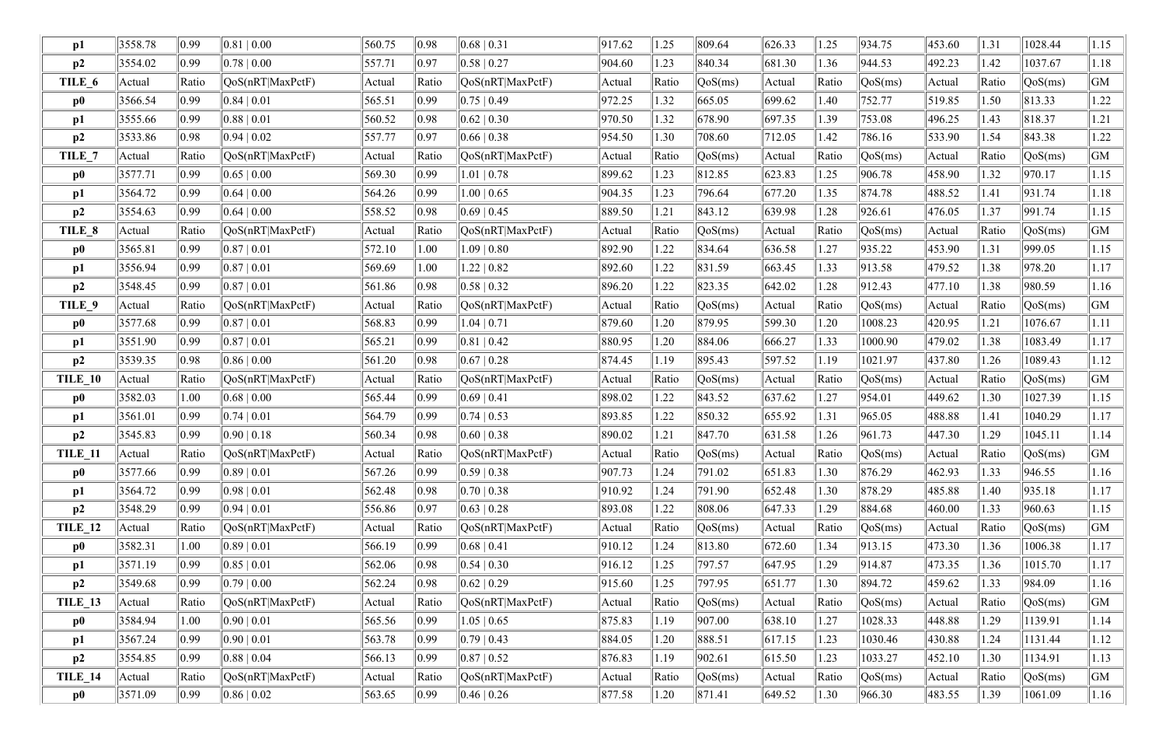| p1             | 3558.78 | $ 0.99\rangle$ | 0.81 0.00        | 560.75 | 0.98           | 0.68 0.31        | 917.62 | 1.25  | 809.64  | 626.33      | 1.25  | 934.75                         | 453.60 | 1.31  | 1028.44          | 1.15 |
|----------------|---------|----------------|------------------|--------|----------------|------------------|--------|-------|---------|-------------|-------|--------------------------------|--------|-------|------------------|------|
| p2             | 3554.02 | $ 0.99\rangle$ | $0.78 \mid 0.00$ | 557.71 | 0.97           | $0.58 \mid 0.27$ | 904.60 | 1.23  | 840.34  | 681.30      | 1.36  | 944.53                         | 492.23 | 1.42  | 1037.67          | 1.18 |
| TILE 6         | Actual  | Ratio          | QoS(nRT MaxPctF) | Actual | Ratio          | QoS(nRT MaxPctF) | Actual | Ratio | QoS(ms) | Actual      | Ratio | QoS(ms)                        | Actual | Ratio | QoS(ms)          | GM   |
| $\bf p0$       | 3566.54 | $ 0.99\rangle$ | $0.84 \mid 0.01$ | 565.51 | 0.99           | $0.75 \mid 0.49$ | 972.25 | 1.32  | 665.05  | 699.62      | 1.40  | 752.77                         | 519.85 | 1.50  | 813.33           | 1.22 |
| p1             | 3555.66 | $ 0.99\rangle$ | 0.88   0.01      | 560.52 | 0.98           | $0.62 \mid 0.30$ | 970.50 | 1.32  | 678.90  | 697.35      | 1.39  | 753.08                         | 496.25 | 1.43  | 818.37           | 1.21 |
| p2             | 3533.86 | 0.98           | $0.94 \mid 0.02$ | 557.77 | 0.97           | $0.66 \mid 0.38$ | 954.50 | 1.30  | 708.60  | 712.05      | 1.42  | 786.16                         | 533.90 | 1.54  | 843.38           | 1.22 |
| TILE_7         | Actual  | Ratio          | QoS(nRT MaxPctF) | Actual | Ratio          | QoS(nRT MaxPctF) | Actual | Ratio | QoS(ms) | Actual      | Ratio | QoS(ms)                        | Actual | Ratio | QoS(ms)          | GM   |
| $\bf p0$       | 3577.71 | $ 0.99\rangle$ | $0.65 \mid 0.00$ | 569.30 | 0.99           | $1.01 \mid 0.78$ | 899.62 | 1.23  | 812.85  | 623.83      | 1.25  | 906.78                         | 458.90 | 1.32  | 970.17           | 1.15 |
| p1             | 3564.72 | $ 0.99\rangle$ | $0.64 \mid 0.00$ | 564.26 | 0.99           | $1.00 \mid 0.65$ | 904.35 | 1.23  | 796.64  | 677.20      | 1.35  | 874.78                         | 488.52 | 1.41  | 931.74           | 1.18 |
| p2             | 3554.63 | 0.99           | 0.64   0.00      | 558.52 | 0.98           | $0.69 \mid 0.45$ | 889.50 | 1.21  | 843.12  | 639.98      | 1.28  | 926.61                         | 476.05 | 1.37  | 991.74           | 1.15 |
| TILE 8         | Actual  | Ratio          | QoS(nRT MaxPctF) | Actual | Ratio          | QoS(nRT MaxPctF) | Actual | Ratio | QoS(ms) | Actual      | Ratio | QoS(ms)                        | Actual | Ratio | QoS(ms)          | GM   |
| $\bf p0$       | 3565.81 | $ 0.99\rangle$ | 0.87   0.01      | 572.10 | 1.00           | $1.09 \mid 0.80$ | 892.90 | 1.22  | 834.64  | 636.58      | 1.27  | 935.22                         | 453.90 | 1.31  | 999.05           | 1.15 |
| p1             | 3556.94 | $ 0.99\rangle$ | 0.87 0.01        | 569.69 | 1.00           | $1.22 \mid 0.82$ | 892.60 | 1.22  | 831.59  | 663.45      | 1.33  | 913.58                         | 479.52 | 1.38  | 978.20           | 1.17 |
| p2             | 3548.45 | $ 0.99\rangle$ | 0.87   0.01      | 561.86 | 0.98           | 0.58   0.32      | 896.20 | 1.22  | 823.35  | 642.02      | 1.28  | 912.43                         | 477.10 | 1.38  | 980.59           | 1.16 |
| TILE 9         | Actual  | Ratio          | QoS(nRT MaxPctF) | Actual | Ratio          | QoS(nRT MaxPctF) | Actual | Ratio | QoS(ms) | Actual      | Ratio | QoS(ms)                        | Actual | Ratio | QoS(ms)          | GM   |
| $\bf p0$       | 3577.68 | $ 0.99\rangle$ | 0.87 0.01        | 568.83 | 0.99           | $1.04 \mid 0.71$ | 879.60 | 1.20  | 879.95  | 599.30      | 1.20  | 1008.23                        | 420.95 | 1.21  | 1076.67          | 1.11 |
| p1             | 3551.90 | $ 0.99\rangle$ | $0.87 \mid 0.01$ | 565.21 | 0.99           | $0.81 \mid 0.42$ | 880.95 | 1.20  | 884.06  | 666.27      | 1.33  | 1000.90                        | 479.02 | 1.38  | 1083.49          | 1.17 |
| p2             | 3539.35 | 0.98           | 0.86   0.00      | 561.20 | 0.98           | $0.67 \mid 0.28$ | 874.45 | 1.19  | 895.43  | 597.52      | 1.19  | 1021.97                        | 437.80 | 1.26  | 1089.43          | 1.12 |
| TILE 10        | Actual  | Ratio          | QoS(nRT MaxPctF) | Actual | Ratio          | QoS(nRT MaxPctF) | Actual | Ratio | QoS(ms) | Actual      | Ratio | QoS(ms)                        | Actual | Ratio | QoS(ms)          | GM   |
| $\bf p0$       | 3582.03 | 1.00           | $0.68 \mid 0.00$ | 565.44 | 0.99           | $0.69 \mid 0.41$ | 898.02 | 1.22  | 843.52  | 637.62      | 1.27  | 954.01                         | 449.62 | 1.30  | 1027.39          | 1.15 |
| p1             | 3561.01 | $ 0.99\rangle$ | 0.74 0.01        | 564.79 | 0.99           | 0.74   0.53      | 893.85 | 1.22  | 850.32  | 655.92      | 1.31  | 965.05                         | 488.88 | 1.41  | 1040.29          | 1.17 |
| p2             | 3545.83 | $ 0.99\rangle$ | 0.90   0.18      | 560.34 | 0.98           | $0.60 \mid 0.38$ | 890.02 | 1.21  | 847.70  | 631.58      | 1.26  | 961.73                         | 447.30 | 1.29  | 1045.11          | 1.14 |
| TILE 11        | Actual  | Ratio          | QoS(nRT MaxPctF) | Actual | Ratio          | QoS(nRT MaxPctF) | Actual | Ratio | QoS(ms) | Actual      | Ratio | $\sqrt{QoS(ms)}$               | Actual | Ratio | $\sqrt{QoS(ms)}$ | GM   |
| $\bf p0$       | 3577.66 | $ 0.99\rangle$ | $0.89 \mid 0.01$ | 567.26 | $ 0.99\rangle$ | 0.59   0.38      | 907.73 | 1.24  | 791.02  | 651.83      | 1.30  | 876.29                         | 462.93 | 1.33  | 946.55           | 1.16 |
| p1             | 3564.72 | $ 0.99\rangle$ | $0.98 \mid 0.01$ | 562.48 | 0.98           | $0.70 \mid 0.38$ | 910.92 | 1.24  | 791.90  | 652.48      | 1.30  | 878.29                         | 485.88 | 1.40  | 935.18           | 1.17 |
| p2             | 3548.29 | $ 0.99\rangle$ | $0.94 \mid 0.01$ | 556.86 | 0.97           | 0.63 0.28        | 893.08 | 1.22  | 808.06  | 647.33      | 1.29  | 884.68                         | 460.00 | 1.33  | 960.63           | 1.15 |
| <b>TILE_12</b> | Actual  | Ratio          | QoS(nRT MaxPctF) | Actual | Ratio          | QoS(nRT MaxPctF) | Actual | Ratio | QoS(ms) | Actual      | Ratio | $\sqrt{\text{QoS}(\text{ms})}$ | Actual | Ratio | QoS(ms)          | GM   |
| $\bf p0$       | 3582.31 | 1.00           | $0.89 \mid 0.01$ | 566.19 | $ 0.99\rangle$ | $0.68 \mid 0.41$ | 910.12 | 1.24  | 813.80  | 672.60      | 1.34  | 913.15                         | 473.30 | 1.36  | 1006.38          | 1.17 |
| p1             | 3571.19 | $ 0.99\rangle$ | $0.85 \mid 0.01$ | 562.06 | 0.98           | $0.54 \mid 0.30$ | 916.12 | 1.25  | 797.57  | 647.95      | 1.29  | 914.87                         | 473.35 | 1.36  | 1015.70          | 1.17 |
| p2             | 3549.68 | $ 0.99\rangle$ | $0.79 \mid 0.00$ | 562.24 | 0.98           | 0.62 0.29        | 915.60 | 1.25  | 797.95  | 651.77      | 1.30  | 894.72                         | 459.62 | 1.33  | 984.09           | 1.16 |
| <b>TILE_13</b> | Actual  | Ratio          | QoS(nRT MaxPctF) | Actual | Ratio          | QoS(nRT MaxPctF) | Actual | Ratio | QoS(ms) | Actual      | Ratio | QoS(ms)                        | Actual | Ratio | QoS(ms)          | GM   |
| $\bf p0$       | 3584.94 | 1.00           | $0.90 \mid 0.01$ | 565.56 | $ 0.99\rangle$ | 1.05   0.65      | 875.83 | 1.19  | 907.00  | 638.10      | 1.27  | 1028.33                        | 448.88 | 1.29  | 1139.91          | 1.14 |
| p1             | 3567.24 | $ 0.99\rangle$ | $0.90 \mid 0.01$ | 563.78 | 0.99           | $0.79 \mid 0.43$ | 884.05 | 1.20  | 888.51  | 617.15      | 1.23  | 1030.46                        | 430.88 | 1.24  | 1131.44          | 1.12 |
| p2             | 3554.85 | $ 0.99\rangle$ | $0.88 \mid 0.04$ | 566.13 | $ 0.99\rangle$ | 0.87 0.52        | 876.83 | 1.19  | 902.61  | 615.50      | 1.23  | 1033.27                        | 452.10 | 1.30  | 1134.91          | 1.13 |
| <b>TILE_14</b> | Actual  | Ratio          | QoS(nRT MaxPctF) | Actual | Ratio          | QoS(nRT MaxPctF) | Actual | Ratio | QoS(ms) | Actual      | Ratio | $\sqrt{\text{QoS}(\text{ms})}$ | Actual | Ratio | QoS(ms)          | GM   |
| $\bf p0$       | 3571.09 | $ 0.99\rangle$ | 0.86   0.02      | 563.65 | $ 0.99\rangle$ | $\ 0.46\ 0.26\ $ | 877.58 | 1.20  | 871.41  | $\ $ 649.52 | 1.30  | 966.30                         | 483.55 | 1.39  | 1061.09          | 1.16 |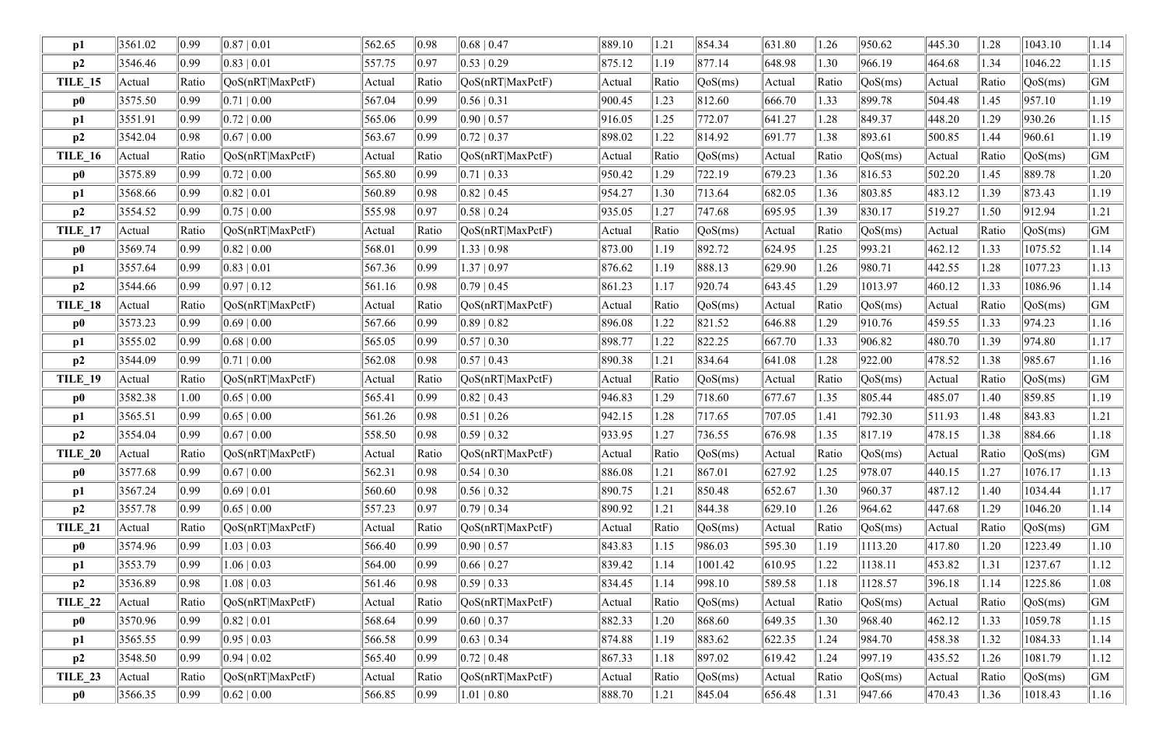| p1             | 3561.02 | $ 0.99\rangle$ | 0.87   0.01       | 562.65 | 0.98           | $0.68 \mid 0.47$ | 889.10 | 1.21  | 854.34  | 631.80      | 1.26  | 950.62                         | 445.30 | 1.28  | 1043.10 | 1.14           |
|----------------|---------|----------------|-------------------|--------|----------------|------------------|--------|-------|---------|-------------|-------|--------------------------------|--------|-------|---------|----------------|
| p2             | 3546.46 | 0.99           | $0.83 \mid 0.01$  | 557.75 | 0.97           | $0.53 \mid 0.29$ | 875.12 | 1.19  | 877.14  | 648.98      | 1.30  | 966.19                         | 464.68 | 1.34  | 1046.22 | 1.15           |
| <b>TILE_15</b> | Actual  | Ratio          | QoS(nRT MaxPctF)  | Actual | Ratio          | QoS(nRT MaxPctF) | Actual | Ratio | QoS(ms) | Actual      | Ratio | QoS(ms)                        | Actual | Ratio | QoS(ms) | GM             |
| $\bf p0$       | 3575.50 | $ 0.99\rangle$ | $0.71 \, \, 0.00$ | 567.04 | $ 0.99\rangle$ | $0.56 \mid 0.31$ | 900.45 | 1.23  | 812.60  | 666.70      | 1.33  | 899.78                         | 504.48 | 1.45  | 957.10  | 1.19           |
| p1             | 3551.91 | $ 0.99\rangle$ | 0.72   0.00       | 565.06 | 0.99           | $0.90 \mid 0.57$ | 916.05 | 1.25  | 772.07  | 641.27      | 1.28  | 849.37                         | 448.20 | 1.29  | 930.26  | 1.15           |
| p2             | 3542.04 | 0.98           | 0.67   0.00       | 563.67 | 0.99           | $0.72 \mid 0.37$ | 898.02 | 1.22  | 814.92  | 691.77      | 1.38  | 893.61                         | 500.85 | 1.44  | 960.61  | $ 1.19\rangle$ |
| <b>TILE_16</b> | Actual  | Ratio          | QoS(nRT MaxPctF)  | Actual | Ratio          | QoS(nRT MaxPctF) | Actual | Ratio | QoS(ms) | Actual      | Ratio | QoS(ms)                        | Actual | Ratio | QoS(ms) | GM             |
| $\bf p0$       | 3575.89 | $ 0.99\rangle$ | $0.72 \mid 0.00$  | 565.80 | 0.99           | $0.71 \mid 0.33$ | 950.42 | 1.29  | 722.19  | 679.23      | 1.36  | 816.53                         | 502.20 | 1.45  | 889.78  | 1.20           |
| p1             | 3568.66 | $ 0.99\rangle$ | $0.82 \mid 0.01$  | 560.89 | 0.98           | 0.82   0.45      | 954.27 | 1.30  | 713.64  | 682.05      | 1.36  | 803.85                         | 483.12 | 1.39  | 873.43  | 1.19           |
| p2             | 3554.52 | 0.99           | 0.75   0.00       | 555.98 | 0.97           | $0.58 \mid 0.24$ | 935.05 | 1.27  | 747.68  | 695.95      | 1.39  | 830.17                         | 519.27 | 1.50  | 912.94  | 1.21           |
| TILE_17        | Actual  | Ratio          | QoS(nRT MaxPctF)  | Actual | Ratio          | QoS(nRT MaxPctF) | Actual | Ratio | QoS(ms) | Actual      | Ratio | QoS(ms)                        | Actual | Ratio | QoS(ms) | GM             |
| $\bf p0$       | 3569.74 | $ 0.99\rangle$ | $0.82 \mid 0.00$  | 568.01 | $ 0.99\rangle$ | 1.33   0.98      | 873.00 | 1.19  | 892.72  | 624.95      | 1.25  | 993.21                         | 462.12 | 1.33  | 1075.52 | 1.14           |
| p1             | 3557.64 | $ 0.99\rangle$ | 0.83 0.01         | 567.36 | 0.99           | 1.37   0.97      | 876.62 | 1.19  | 888.13  | 629.90      | 1.26  | 980.71                         | 442.55 | 1.28  | 1077.23 | 1.13           |
| p2             | 3544.66 | $ 0.99\rangle$ | $0.97 \mid 0.12$  | 561.16 | 0.98           | 0.79   0.45      | 861.23 | 1.17  | 920.74  | 643.45      | 1.29  | 1013.97                        | 460.12 | 1.33  | 1086.96 | 1.14           |
| <b>TILE_18</b> | Actual  | Ratio          | QoS(nRT MaxPctF)  | Actual | Ratio          | QoS(nRT MaxPctF) | Actual | Ratio | QoS(ms) | Actual      | Ratio | QoS(ms)                        | Actual | Ratio | QoS(ms) | GM             |
| $\bf p0$       | 3573.23 | $ 0.99\rangle$ | $0.69 \mid 0.00$  | 567.66 | 0.99           | 0.89   0.82      | 896.08 | 1.22  | 821.52  | 646.88      | 1.29  | 910.76                         | 459.55 | 1.33  | 974.23  | 1.16           |
| p1             | 3555.02 | $ 0.99\rangle$ | $0.68 \mid 0.00$  | 565.05 | 0.99           | 0.57   0.30      | 898.77 | 1.22  | 822.25  | 667.70      | 1.33  | 906.82                         | 480.70 | 1.39  | 974.80  | 1.17           |
| p2             | 3544.09 | $ 0.99\rangle$ | $0.71 \mid 0.00$  | 562.08 | 0.98           | $0.57 \mid 0.43$ | 890.38 | 1.21  | 834.64  | 641.08      | 1.28  | 922.00                         | 478.52 | 1.38  | 985.67  | 1.16           |
| <b>TILE_19</b> | Actual  | Ratio          | QoS(nRT MaxPctF)  | Actual | Ratio          | QoS(nRT MaxPctF) | Actual | Ratio | QoS(ms) | Actual      | Ratio | QoS(ms)                        | Actual | Ratio | QoS(ms) | GM             |
| $\bf p0$       | 3582.38 | 1.00           | $0.65 \mid 0.00$  | 565.41 | 0.99           | $0.82 \mid 0.43$ | 946.83 | 1.29  | 718.60  | 677.67      | 1.35  | 805.44                         | 485.07 | 1.40  | 859.85  | 1.19           |
| p1             | 3565.51 | 0.99           | $0.65 \mid 0.00$  | 561.26 | 0.98           | $0.51 \mid 0.26$ | 942.15 | 1.28  | 717.65  | 707.05      | 1.41  | 792.30                         | 511.93 | 1.48  | 843.83  | 1.21           |
| p2             | 3554.04 | $ 0.99\rangle$ | 0.67   0.00       | 558.50 | 0.98           | 0.59   0.32      | 933.95 | 1.27  | 736.55  | 676.98      | 1.35  | 817.19                         | 478.15 | 1.38  | 884.66  | 1.18           |
| <b>TILE 20</b> | Actual  | Ratio          | QoS(nRT MaxPctF)  | Actual | Ratio          | QoS(nRT MaxPctF) | Actual | Ratio | QoS(ms) | Actual      | Ratio | $\sqrt{\text{QoS}(\text{ms})}$ | Actual | Ratio | QoS(ms) | GM             |
| $\bf p0$       | 3577.68 | $ 0.99\rangle$ | $0.67 \mid 0.00$  | 562.31 | 0.98           | $0.54 \mid 0.30$ | 886.08 | 1.21  | 867.01  | 627.92      | 1.25  | 978.07                         | 440.15 | 1.27  | 1076.17 | 1.13           |
| p1             | 3567.24 | $ 0.99\rangle$ | $0.69 \mid 0.01$  | 560.60 | 0.98           | $0.56 \mid 0.32$ | 890.75 | 1.21  | 850.48  | 652.67      | 1.30  | 960.37                         | 487.12 | 1.40  | 1034.44 | 1.17           |
| p2             | 3557.78 | $ 0.99\rangle$ | $0.65 \mid 0.00$  | 557.23 | 0.97           | $0.79 \mid 0.34$ | 890.92 | 1.21  | 844.38  | 629.10      | 1.26  | 964.62                         | 447.68 | 1.29  | 1046.20 | 1.14           |
| TILE_21        | Actual  | Ratio          | QoS(nRT MaxPctF)  | Actual | Ratio          | QoS(nRT MaxPctF) | Actual | Ratio | QoS(ms) | Actual      | Ratio | $\sqrt{QoS(ms)}$               | Actual | Ratio | QoS(ms) | GM             |
| $\bf p0$       | 3574.96 | $ 0.99\rangle$ | 1.03   0.03       | 566.40 | $ 0.99\rangle$ | $0.90 \mid 0.57$ | 843.83 | 1.15  | 986.03  | 595.30      | 1.19  | 1113.20                        | 417.80 | 1.20  | 1223.49 | 1.10           |
| p1             | 3553.79 | $ 0.99\rangle$ | 1.06   0.03       | 564.00 | 0.99           | 0.66 0.27        | 839.42 | 1.14  | 1001.42 | 610.95      | 1.22  | 1138.11                        | 453.82 | 1.31  | 1237.67 | 1.12           |
| p2             | 3536.89 | 0.98           | $1.08 \mid 0.03$  | 561.46 | 0.98           | $0.59 \mid 0.33$ | 834.45 | 1.14  | 998.10  | 589.58      | 1.18  | 1128.57                        | 396.18 | 1.14  | 1225.86 | 1.08           |
| <b>TILE_22</b> | Actual  | Ratio          | QoS(nRT MaxPctF)  | Actual | Ratio          | QoS(nRT MaxPctF) | Actual | Ratio | QoS(ms) | Actual      | Ratio | QoS(ms)                        | Actual | Ratio | QoS(ms) | GM             |
| $\bf p0$       | 3570.96 | $ 0.99\rangle$ | $0.82 \mid 0.01$  | 568.64 | $ 0.99\rangle$ | $0.60 \mid 0.37$ | 882.33 | 1.20  | 868.60  | 649.35      | 1.30  | 968.40                         | 462.12 | 1.33  | 1059.78 | 1.15           |
| p1             | 3565.55 | $ 0.99\rangle$ | $0.95 \mid 0.03$  | 566.58 | 0.99           | 0.63 0.34        | 874.88 | 1.19  | 883.62  | 622.35      | 1.24  | 984.70                         | 458.38 | 1.32  | 1084.33 | 1.14           |
| p2             | 3548.50 | $ 0.99\rangle$ | $0.94 \mid 0.02$  | 565.40 | $ 0.99\rangle$ | $0.72 \mid 0.48$ | 867.33 | 1.18  | 897.02  | 619.42      | 1.24  | 997.19                         | 435.52 | 1.26  | 1081.79 | 1.12           |
| <b>TILE_23</b> | Actual  | Ratio          | QoS(nRT MaxPctF)  | Actual | Ratio          | QoS(nRT MaxPctF) | Actual | Ratio | QoS(ms) | Actual      | Ratio | $\sqrt{\text{QoS}(\text{ms})}$ | Actual | Ratio | QoS(ms) | GM             |
| $\bf p0$       | 3566.35 | $ 0.99\rangle$ | $0.62 \mid 0.00$  | 566.85 | $ 0.99\rangle$ | $1.01 \mid 0.80$ | 888.70 | 1.21  | 845.04  | $\ $ 656.48 | 1.31  | 947.66                         | 470.43 | 1.36  | 1018.43 | 1.16           |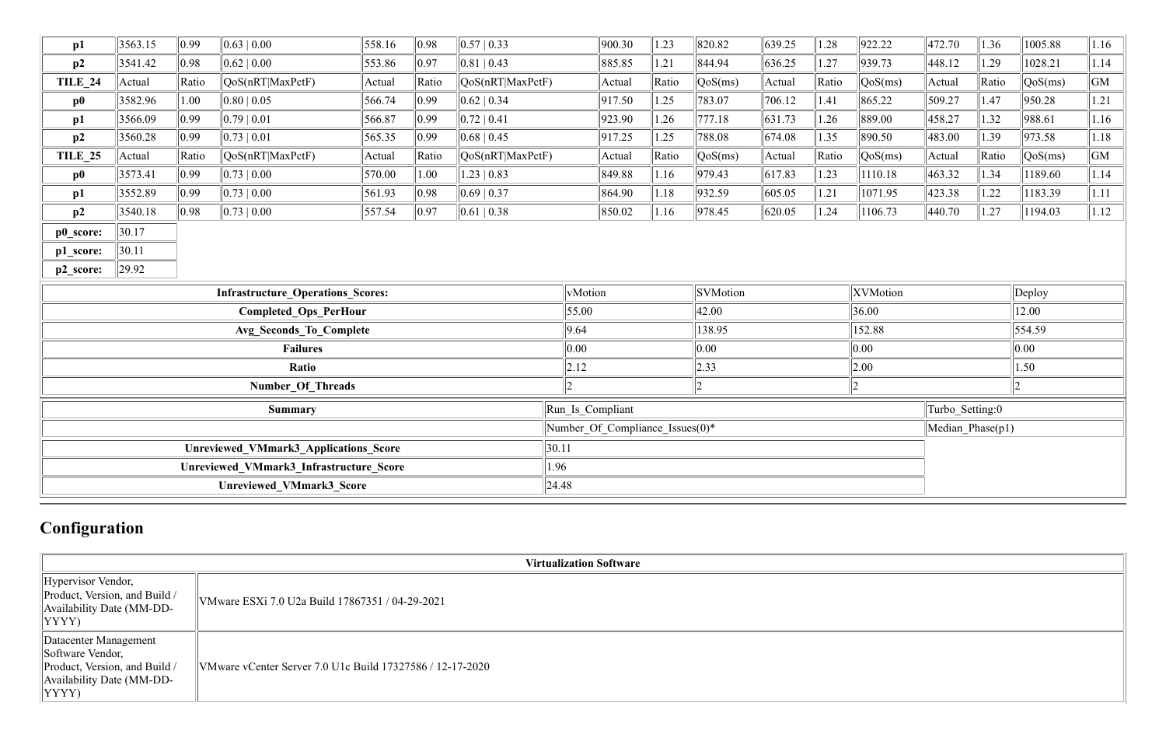| p1             | 3563.15 | $ 0.99\rangle$ | 0.63 0.00                                    | 558.16 | $\parallel$ 0.98 | 0.57 0.33                 |                  | 900.30                              | 1.23  | 820.82   | 639.25 | 1.28  | 922.22   | 472.70           | 1.36  | 1005.88 | $\vert 1.16 \vert$ |
|----------------|---------|----------------|----------------------------------------------|--------|------------------|---------------------------|------------------|-------------------------------------|-------|----------|--------|-------|----------|------------------|-------|---------|--------------------|
| p2             | 3541.42 | 0.98           | 0.62 0.00                                    | 553.86 | 0.97             | $ 0.81 $ 0.43             |                  | 885.85                              | 1.21  | 844.94   | 636.25 | 1.27  | 939.73   | 448.12           | 1.29  | 1028.21 | 1.14               |
| <b>TILE 24</b> | Actual  | Ratio          | $\sqrt{QoS(nRT MaxPctF)}$                    | Actual | Ratio            | QoS(nRT MaxPctF)          |                  | Actual                              | Ratio | QoS(ms)  | Actual | Ratio | QoS(ms)  | Actual           | Ratio | QoS(ms) | GM                 |
| $\bf p0$       | 3582.96 | 1.00           | 0.80 0.05                                    | 566.74 | $ 0.99\rangle$   | 0.62 0.34                 |                  | 917.50                              | 1.25  | 783.07   | 706.12 | 1.41  | 865.22   | 509.27           | 1.47  | 950.28  | 1.21               |
| p1             | 3566.09 | $ 0.99\rangle$ | 0.79 0.01                                    | 566.87 | 0.99             | 0.72 0.41                 |                  | 923.90                              | 1.26  | 777.18   | 631.73 | 1.26  | 889.00   | 458.27           | 1.32  | 988.61  | 1.16               |
| p2             | 3560.28 | $ 0.99\rangle$ | 0.73 0.01                                    | 565.35 | $ 0.99\rangle$   | 0.68 0.45                 |                  | 917.25                              | 1.25  | 788.08   | 674.08 | 1.35  | 890.50   | 483.00           | 1.39  | 973.58  | 1.18               |
| <b>TILE 25</b> | Actual  | Ratio          | $\sqrt{QoS(nRT MaxPctF)}$                    | Actual | Ratio            | $\sqrt{QoS(nRT MaxPctF)}$ |                  | Actual                              | Ratio | QoS(ms)  | Actual | Ratio | QoS(ms)  | Actual           | Ratio | QoS(ms) | GM                 |
| $\bf p0$       | 3573.41 | $ 0.99\rangle$ | 0.73 0.00                                    | 570.00 | 1.00             | 1.23   0.83               |                  | 849.88                              | 1.16  | 979.43   | 617.83 | 1.23  | 1110.18  | 463.32           | 1.34  | 1189.60 | 1.14               |
| p1             | 3552.89 | $ 0.99\rangle$ | 0.73 0.00                                    | 561.93 | $ 0.98\rangle$   | 0.69 0.37                 |                  | 864.90                              | 1.18  | 932.59   | 605.05 | 1.21  | 1071.95  | 423.38           | 1.22  | 1183.39 | 1.11               |
| p2             | 3540.18 | 0.98           | 0.73 0.00                                    | 557.54 | $\parallel$ 0.97 | 0.61 0.38                 |                  | 850.02                              | 1.16  | 978.45   | 620.05 | 1.24  | 1106.73  | 440.70           | 1.27  | 1194.03 | 1.12               |
| p0_score:      | 30.17   |                |                                              |        |                  |                           |                  |                                     |       |          |        |       |          |                  |       |         |                    |
| p1_score:      | 30.11   |                |                                              |        |                  |                           |                  |                                     |       |          |        |       |          |                  |       |         |                    |
| p2_score:      | 29.92   |                |                                              |        |                  |                           |                  |                                     |       |          |        |       |          |                  |       |         |                    |
|                |         |                | <b>Infrastructure Operations Scores:</b>     |        |                  |                           | vMotion          |                                     |       | SVMotion |        |       | XVMotion |                  |       | Deploy  |                    |
|                |         |                | <b>Completed Ops_PerHour</b>                 |        |                  |                           | 55.00            |                                     |       | 42.00    |        |       | 36.00    |                  |       | 12.00   |                    |
|                |         |                | Avg Seconds To Complete                      |        |                  |                           | 9.64             |                                     |       | 138.95   |        |       | 152.88   | 554.59           |       |         |                    |
|                |         |                | <b>Failures</b>                              |        |                  |                           | 0.00             |                                     |       | 0.00     |        |       | 0.00     |                  |       | 0.00    |                    |
|                |         |                | Ratio                                        |        |                  |                           | 2.12             |                                     |       | 2.33     |        |       | 2.00     |                  |       | .50     |                    |
|                |         |                | <b>Number Of Threads</b>                     |        |                  |                           |                  |                                     |       |          |        |       | 2        |                  |       |         |                    |
|                |         |                | <b>Summary</b>                               |        |                  |                           | Run Is Compliant |                                     |       |          |        |       |          | Turbo_Setting:0  |       |         |                    |
|                |         |                |                                              |        |                  |                           |                  | Number Of Compliance Issues $(0)^*$ |       |          |        |       |          | Median Phase(p1) |       |         |                    |
|                |         |                | <b>Unreviewed VMmark3 Applications Score</b> |        |                  | 30.11                     |                  |                                     |       |          |        |       |          |                  |       |         |                    |
|                |         |                | Unreviewed VMmark3 Infrastructure Score      |        |                  | 1.96                      |                  |                                     |       |          |        |       |          |                  |       |         |                    |
|                |         |                | <b>Unreviewed VMmark3 Score</b>              |        |                  | 24.48                     |                  |                                     |       |          |        |       |          |                  |       |         |                    |

# **Configuration**

|                                                                                                                           |                                                           | <b>Virtualization Software</b> |
|---------------------------------------------------------------------------------------------------------------------------|-----------------------------------------------------------|--------------------------------|
| Hypervisor Vendor,<br>Product, Version, and Build /<br>Availability Date (MM-DD-<br>YYYY)                                 | VMware ESXi 7.0 U2a Build 17867351 / 04-29-2021           |                                |
| Datacenter Management<br>Software Vendor,<br>Product, Version, and Build /<br>Availability Date (MM-DD-<br>$ YYYY\rangle$ | VMware vCenter Server 7.0 U1c Build 17327586 / 12-17-2020 |                                |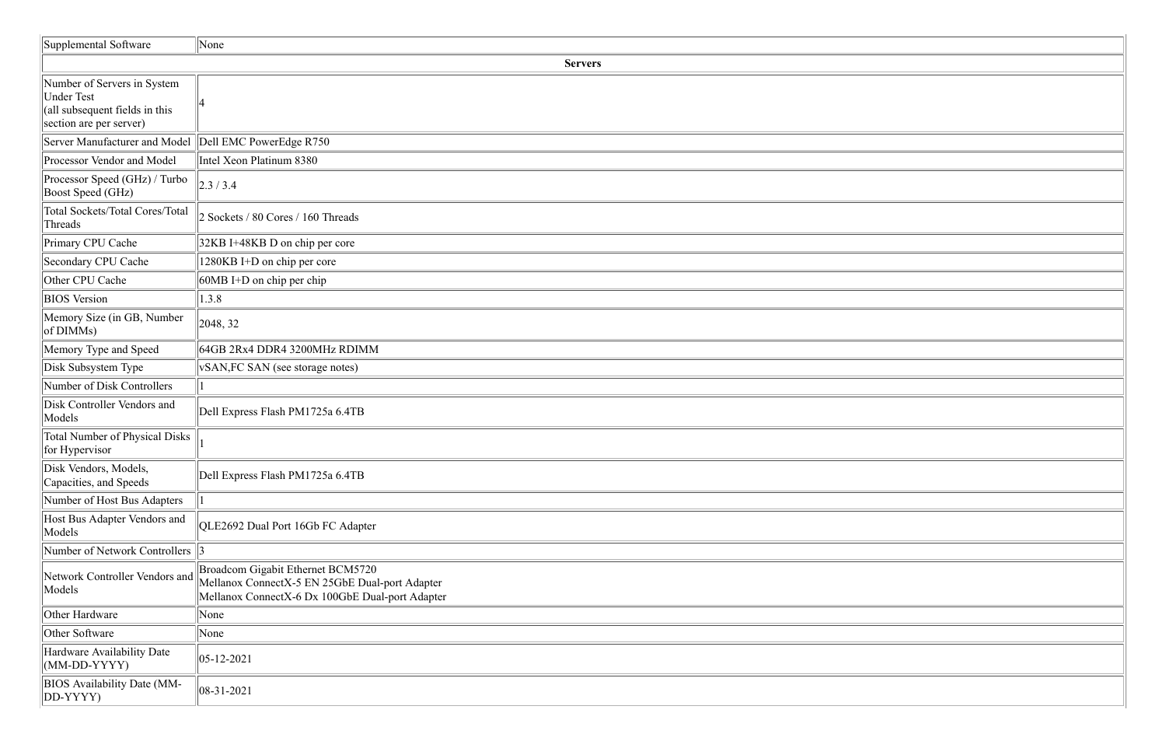| Supplemental Software                                                                                         | None                                                                                                                                   |
|---------------------------------------------------------------------------------------------------------------|----------------------------------------------------------------------------------------------------------------------------------------|
|                                                                                                               | <b>Servers</b>                                                                                                                         |
| Number of Servers in System<br><b>Under Test</b><br>(all subsequent fields in this<br>section are per server) |                                                                                                                                        |
| Server Manufacturer and Model Dell EMC PowerEdge R750                                                         |                                                                                                                                        |
| Processor Vendor and Model                                                                                    | Intel Xeon Platinum 8380                                                                                                               |
| Processor Speed (GHz) / Turbo<br>Boost Speed (GHz)                                                            | $\vert$ 2.3 / 3.4                                                                                                                      |
| <b>Total Sockets/Total Cores/Total</b><br>Threads                                                             | 2 Sockets / 80 Cores / 160 Threads                                                                                                     |
| Primary CPU Cache                                                                                             | 32KB I+48KB D on chip per core                                                                                                         |
| Secondary CPU Cache                                                                                           | 1280KB I+D on chip per core                                                                                                            |
| Other CPU Cache                                                                                               | $60MB$ I+D on chip per chip                                                                                                            |
| <b>BIOS</b> Version                                                                                           | 1.3.8                                                                                                                                  |
| Memory Size (in GB, Number<br>of DIMMs)                                                                       | 2048, 32                                                                                                                               |
| Memory Type and Speed                                                                                         | 64GB 2Rx4 DDR4 3200MHz RDIMM                                                                                                           |
| Disk Subsystem Type                                                                                           | <b>vSAN, FC SAN</b> (see storage notes)                                                                                                |
| Number of Disk Controllers                                                                                    |                                                                                                                                        |
| Disk Controller Vendors and<br>Models                                                                         | Dell Express Flash PM1725a 6.4TB                                                                                                       |
| Total Number of Physical Disks<br>for Hypervisor                                                              |                                                                                                                                        |
| Disk Vendors, Models,<br>Capacities, and Speeds                                                               | Dell Express Flash PM1725a 6.4TB                                                                                                       |
| Number of Host Bus Adapters                                                                                   |                                                                                                                                        |
| Host Bus Adapter Vendors and<br>Models                                                                        | QLE2692 Dual Port 16Gb FC Adapter                                                                                                      |
| Number of Network Controllers 3                                                                               |                                                                                                                                        |
| Network Controller Vendors and<br>Models                                                                      | Broadcom Gigabit Ethernet BCM5720<br>Mellanox ConnectX-5 EN 25GbE Dual-port Adapter<br>Mellanox ConnectX-6 Dx 100GbE Dual-port Adapter |
| Other Hardware                                                                                                | None                                                                                                                                   |
| Other Software                                                                                                | None                                                                                                                                   |
| Hardware Availability Date<br>$(MM\text{-}DD-YYYY)$                                                           | $ 05 - 12 - 2021$                                                                                                                      |
| <b>BIOS</b> Availability Date (MM-<br>DD-YYYY)                                                                | $ 08-31-2021$                                                                                                                          |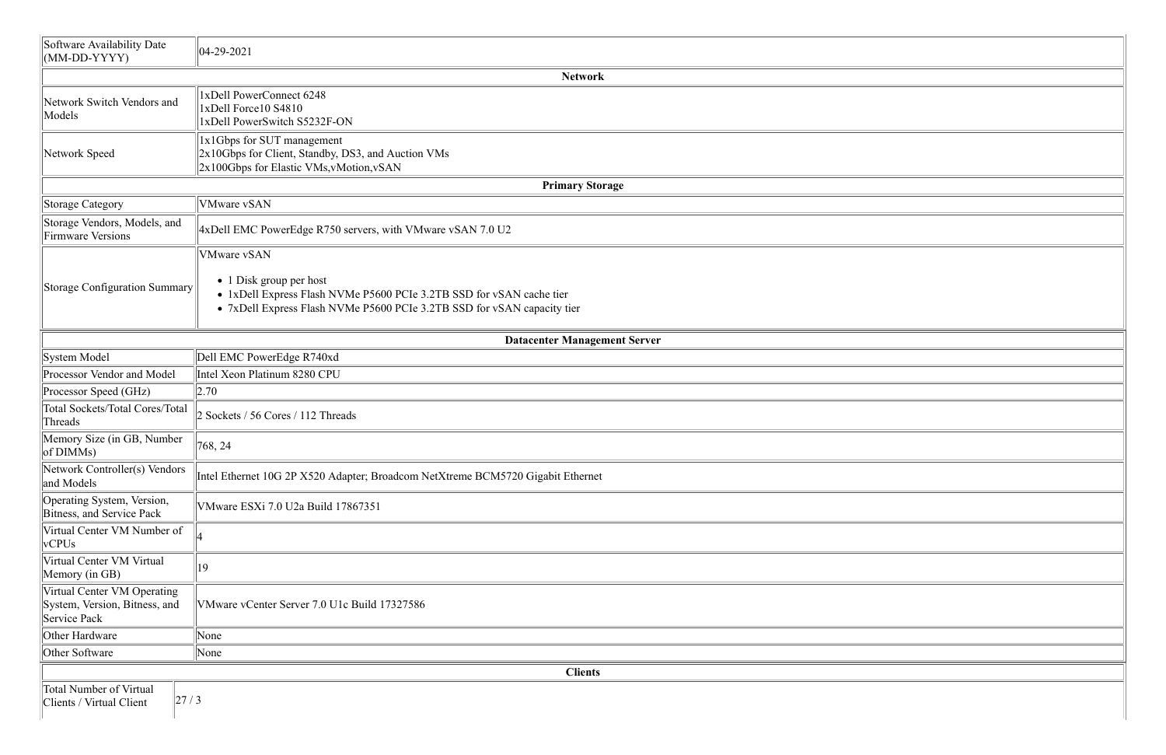| Software Availability Date<br>$(MM\text{-}DD-YYYY)$                          | $ 04-29-2021$                                                                                                                                                                      |
|------------------------------------------------------------------------------|------------------------------------------------------------------------------------------------------------------------------------------------------------------------------------|
|                                                                              | <b>Network</b>                                                                                                                                                                     |
| Network Switch Vendors and<br>Models                                         | 1xDell PowerConnect 6248<br>1xDell Force10 S4810<br>1xDell PowerSwitch S5232F-ON                                                                                                   |
| Network Speed                                                                | 1x1Gbps for SUT management<br>2x10Gbps for Client, Standby, DS3, and Auction VMs<br>2x100Gbps for Elastic VMs, vMotion, vSAN                                                       |
|                                                                              | <b>Primary Storage</b>                                                                                                                                                             |
| Storage Category                                                             | <b>VMware vSAN</b>                                                                                                                                                                 |
| Storage Vendors, Models, and<br><b>Firmware Versions</b>                     | 4xDell EMC PowerEdge R750 servers, with VMware vSAN 7.0 U2                                                                                                                         |
|                                                                              | <b>VMware vSAN</b>                                                                                                                                                                 |
| Storage Configuration Summary                                                | $\bullet$ 1 Disk group per host<br>• 1xDell Express Flash NVMe P5600 PCIe 3.2TB SSD for vSAN cache tier<br>• 7xDell Express Flash NVMe P5600 PCIe 3.2TB SSD for vSAN capacity tier |
|                                                                              | <b>Datacenter Management Server</b>                                                                                                                                                |
| System Model                                                                 | Dell EMC PowerEdge R740xd                                                                                                                                                          |
| Processor Vendor and Model                                                   | Intel Xeon Platinum 8280 CPU                                                                                                                                                       |
| Processor Speed (GHz)                                                        | 2.70                                                                                                                                                                               |
| <b>Total Sockets/Total Cores/Total</b><br>Threads                            | 2 Sockets / 56 Cores / 112 Threads                                                                                                                                                 |
| Memory Size (in GB, Number<br>of DIMMs)                                      | 768, 24                                                                                                                                                                            |
| Network Controller(s) Vendors<br>and Models                                  | Intel Ethernet 10G 2P X520 Adapter; Broadcom NetXtreme BCM5720 Gigabit Ethernet                                                                                                    |
| Operating System, Version,<br>Bitness, and Service Pack                      | VMware ESXi 7.0 U2a Build 17867351                                                                                                                                                 |
| Virtual Center VM Number of<br>vCPUs                                         |                                                                                                                                                                                    |
| Virtual Center VM Virtual<br>Memory (in GB)                                  | 19                                                                                                                                                                                 |
| Virtual Center VM Operating<br>System, Version, Bitness, and<br>Service Pack | VMware vCenter Server 7.0 U1c Build 17327586                                                                                                                                       |
| Other Hardware                                                               | None                                                                                                                                                                               |
| Other Software                                                               | None                                                                                                                                                                               |
|                                                                              | <b>Clients</b>                                                                                                                                                                     |
| <b>Total Number of Virtual</b><br>27/3<br>Clients / Virtual Client           |                                                                                                                                                                                    |

| <u> 1980 - Andrea Santa Andrea Santa Andrea Santa Andrea Santa Andrea Santa Andrea Santa Andrea Santa Andrea San</u>  |  |
|-----------------------------------------------------------------------------------------------------------------------|--|
|                                                                                                                       |  |
|                                                                                                                       |  |
|                                                                                                                       |  |
|                                                                                                                       |  |
|                                                                                                                       |  |
|                                                                                                                       |  |
|                                                                                                                       |  |
|                                                                                                                       |  |
|                                                                                                                       |  |
|                                                                                                                       |  |
| <u> 1989 - Johann Stoff, deutscher Stoff, der Stoff, der Stoff, der Stoff, der Stoff, der Stoff, der Stoff, der S</u> |  |
|                                                                                                                       |  |
|                                                                                                                       |  |
|                                                                                                                       |  |
|                                                                                                                       |  |
|                                                                                                                       |  |
|                                                                                                                       |  |
|                                                                                                                       |  |
|                                                                                                                       |  |
|                                                                                                                       |  |
|                                                                                                                       |  |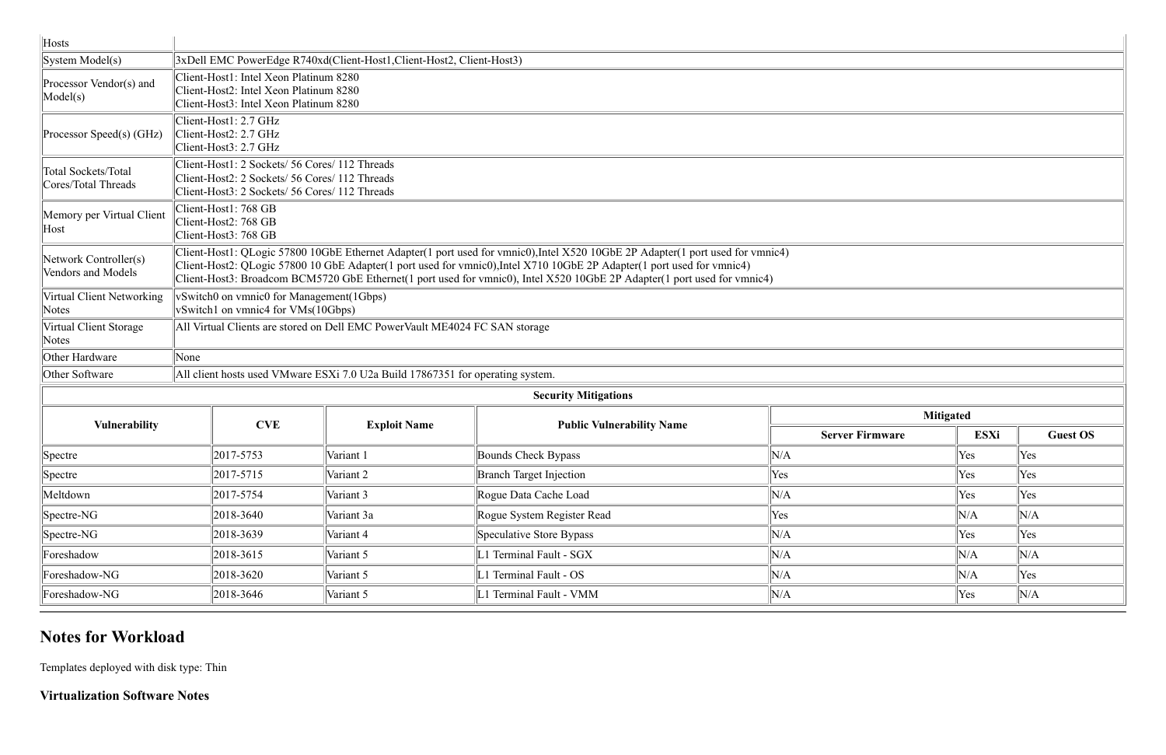| Hosts                                       |                                                                                                                                                                                                                                                                                                                                                                                      |                                                                                                                                                    |                                  |                        |             |                 |  |  |  |  |  |  |  |
|---------------------------------------------|--------------------------------------------------------------------------------------------------------------------------------------------------------------------------------------------------------------------------------------------------------------------------------------------------------------------------------------------------------------------------------------|----------------------------------------------------------------------------------------------------------------------------------------------------|----------------------------------|------------------------|-------------|-----------------|--|--|--|--|--|--|--|
| System Model(s)                             |                                                                                                                                                                                                                                                                                                                                                                                      | 3xDell EMC PowerEdge R740xd(Client-Host1, Client-Host2, Client-Host3)                                                                              |                                  |                        |             |                 |  |  |  |  |  |  |  |
| Processor Vendor(s) and<br>Model(s)         | Client-Host1: Intel Xeon Platinum 8280                                                                                                                                                                                                                                                                                                                                               | Client-Host2: Intel Xeon Platinum 8280<br>Client-Host3: Intel Xeon Platinum 8280                                                                   |                                  |                        |             |                 |  |  |  |  |  |  |  |
| Processor Speed(s) (GHz)                    | Client-Host1: 2.7 GHz<br>Client-Host2: 2.7 GHz<br>Client-Host3: 2.7 GHz                                                                                                                                                                                                                                                                                                              |                                                                                                                                                    |                                  |                        |             |                 |  |  |  |  |  |  |  |
| Total Sockets/Total<br>Cores/Total Threads  |                                                                                                                                                                                                                                                                                                                                                                                      | Client-Host1: 2 Sockets/ 56 Cores/ 112 Threads<br>Client-Host2: 2 Sockets/ 56 Cores/ 112 Threads<br>Client-Host3: 2 Sockets/ 56 Cores/ 112 Threads |                                  |                        |             |                 |  |  |  |  |  |  |  |
| Memory per Virtual Client<br>Host           | Client-Host1: 768 GB<br>Client-Host2: 768 GB<br>Client-Host3: 768 GB                                                                                                                                                                                                                                                                                                                 |                                                                                                                                                    |                                  |                        |             |                 |  |  |  |  |  |  |  |
| Network Controller(s)<br>Vendors and Models | Client-Host1: QLogic 57800 10GbE Ethernet Adapter(1 port used for vmnic0), Intel X520 10GbE 2P Adapter(1 port used for vmnic4)<br>Client-Host2: QLogic 57800 10 GbE Adapter(1 port used for vmnic0), Intel X710 10GbE 2P Adapter(1 port used for vmnic4)<br>Client-Host3: Broadcom BCM5720 GbE Ethernet(1 port used for vmnic0), Intel X520 10GbE 2P Adapter(1 port used for vmnic4) |                                                                                                                                                    |                                  |                        |             |                 |  |  |  |  |  |  |  |
| Virtual Client Networking<br>Notes          |                                                                                                                                                                                                                                                                                                                                                                                      | vSwitch0 on vmnic0 for Management(1Gbps)<br>vSwitch1 on vmnic4 for VMs(10Gbps)                                                                     |                                  |                        |             |                 |  |  |  |  |  |  |  |
| Virtual Client Storage<br>Notes             |                                                                                                                                                                                                                                                                                                                                                                                      | All Virtual Clients are stored on Dell EMC PowerVault ME4024 FC SAN storage                                                                        |                                  |                        |             |                 |  |  |  |  |  |  |  |
| Other Hardware                              | None                                                                                                                                                                                                                                                                                                                                                                                 |                                                                                                                                                    |                                  |                        |             |                 |  |  |  |  |  |  |  |
| Other Software                              |                                                                                                                                                                                                                                                                                                                                                                                      | All client hosts used VMware ESXi 7.0 U2a Build 17867351 for operating system.                                                                     |                                  |                        |             |                 |  |  |  |  |  |  |  |
|                                             |                                                                                                                                                                                                                                                                                                                                                                                      |                                                                                                                                                    | <b>Security Mitigations</b>      |                        |             |                 |  |  |  |  |  |  |  |
| <b>Vulnerability</b>                        | <b>CVE</b>                                                                                                                                                                                                                                                                                                                                                                           | <b>Exploit Name</b>                                                                                                                                |                                  | <b>Mitigated</b>       |             |                 |  |  |  |  |  |  |  |
|                                             |                                                                                                                                                                                                                                                                                                                                                                                      |                                                                                                                                                    | <b>Public Vulnerability Name</b> | <b>Server Firmware</b> | <b>ESXi</b> | <b>Guest OS</b> |  |  |  |  |  |  |  |
| Spectre                                     | 2017-5753                                                                                                                                                                                                                                                                                                                                                                            | Variant 1                                                                                                                                          | Bounds Check Bypass              | N/A                    | Yes         | Yes             |  |  |  |  |  |  |  |
| Spectre                                     | 2017-5715                                                                                                                                                                                                                                                                                                                                                                            | Variant 2                                                                                                                                          | <b>Branch Target Injection</b>   | Yes                    | Yes         | Yes             |  |  |  |  |  |  |  |
| Meltdown                                    | 2017-5754                                                                                                                                                                                                                                                                                                                                                                            | Variant 3                                                                                                                                          | Rogue Data Cache Load            | N/A                    | Yes         | Yes             |  |  |  |  |  |  |  |
| Spectre-NG                                  | 2018-3640                                                                                                                                                                                                                                                                                                                                                                            | Variant 3a                                                                                                                                         | Rogue System Register Read       | Yes                    | N/A         | N/A             |  |  |  |  |  |  |  |
| Spectre-NG                                  | 2018-3639                                                                                                                                                                                                                                                                                                                                                                            | Variant 4                                                                                                                                          | Speculative Store Bypass         | N/A                    | Yes         | Yes             |  |  |  |  |  |  |  |
| Foreshadow                                  | 2018-3615                                                                                                                                                                                                                                                                                                                                                                            | Variant 5                                                                                                                                          | L1 Terminal Fault - SGX          | N/A                    | N/A         | N/A             |  |  |  |  |  |  |  |
| Foreshadow-NG                               | 2018-3620                                                                                                                                                                                                                                                                                                                                                                            | Variant 5                                                                                                                                          | L1 Terminal Fault - OS           | N/A                    | N/A         | Yes             |  |  |  |  |  |  |  |
| Foreshadow-NG                               | 2018-3646                                                                                                                                                                                                                                                                                                                                                                            | Variant 5                                                                                                                                          | L1 Terminal Fault - VMM          | N/A                    | Yes         | N/A             |  |  |  |  |  |  |  |

## **Notes for Workload**

Templates deployed with disk type: Thin

**Virtualization Software Notes**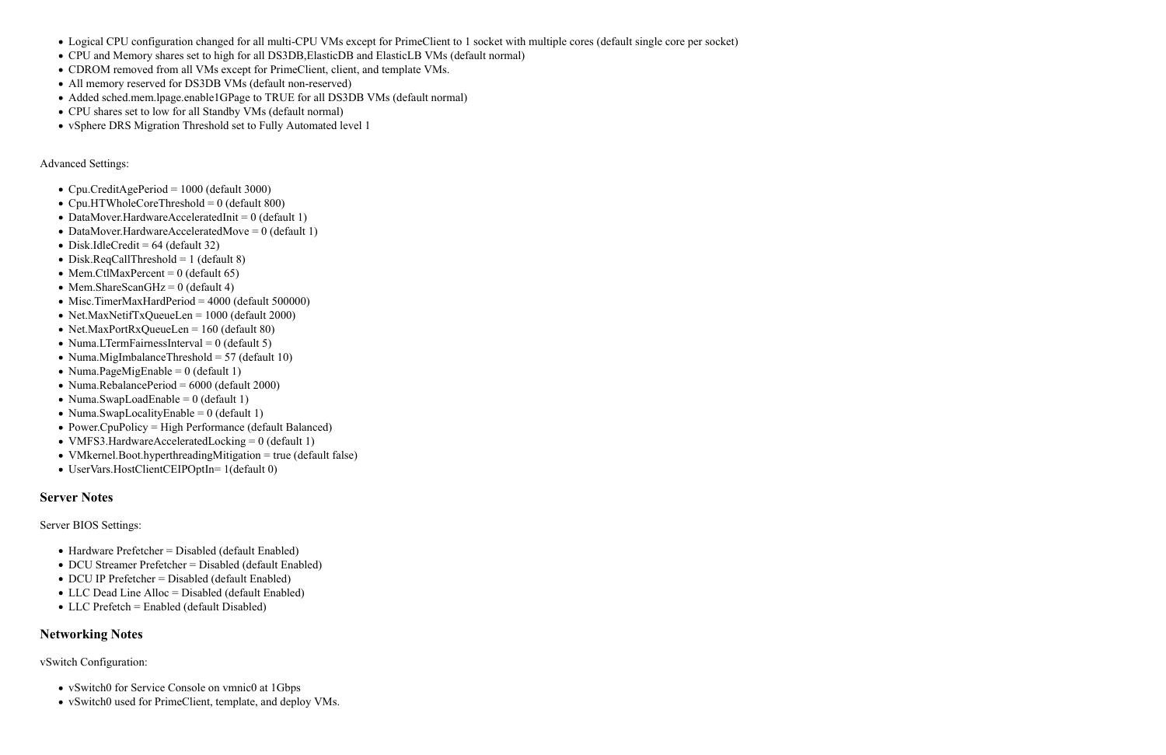- Logical CPU configuration changed for all multi-CPU VMs except for PrimeClient to 1 socket with multiple cores (default single core per socket)
- CPU and Memory shares set to high for all DS3DB,ElasticDB and ElasticLB VMs (default normal)
- CDROM removed from all VMs except for PrimeClient, client, and template VMs.
- All memory reserved for DS3DB VMs (default non-reserved)
- Added sched.mem.lpage.enable1GPage to TRUE for all DS3DB VMs (default normal)
- CPU shares set to low for all Standby VMs (default normal)
- vSphere DRS Migration Threshold set to Fully Automated level 1

Advanced Settings:

- Cpu.CreditAgePeriod =  $1000$  (default 3000)
- Cpu.HTWholeCoreThreshold =  $0$  (default 800)
- DataMover.HardwareAcceleratedInit =  $0$  (default 1)
- DataMover.HardwareAcceleratedMove =  $0$  (default 1)
- $\bullet$  Disk.IdleCredit = 64 (default 32)
- Disk.ReqCallThreshold  $= 1$  (default 8)
- Mem.CtlMaxPercent =  $0$  (default 65)
- Mem.ShareScanGHz =  $0$  (default 4)
- Misc.TimerMaxHardPeriod = 4000 (default 500000)
- Net.MaxNetifTxQueueLen =  $1000$  (default 2000)
- Net.MaxPortRxQueueLen =  $160$  (default 80)
- Numa.LTermFairnessInterval =  $0$  (default 5)
- Numa.MigImbalanceThreshold =  $57$  (default 10)
- Numa.PageMigEnable =  $0$  (default 1)
- Numa.RebalancePeriod =  $6000$  (default 2000)
- Numa.SwapLoadEnable =  $0$  (default 1)
- Numa.SwapLocalityEnable =  $0$  (default 1)
- Power.CpuPolicy = High Performance (default Balanced)
- VMFS3.HardwareAcceleratedLocking  $= 0$  (default 1)
- VMkernel.Boot.hyperthreadingMitigation = true (default false)
- UserVars.HostClientCEIPOptIn= 1(default 0)

#### **Server Notes**

Server BIOS Settings:

- Hardware Prefetcher = Disabled (default Enabled)
- DCU Streamer Prefetcher = Disabled (default Enabled)
- DCU IP Prefetcher = Disabled (default Enabled)
- LLC Dead Line Alloc = Disabled (default Enabled)
- LLC Prefetch = Enabled (default Disabled)

#### **Networking Notes**

vSwitch Configuration:

- vSwitch0 for Service Console on vmnic0 at 1Gbps
- vSwitch0 used for PrimeClient, template, and deploy VMs.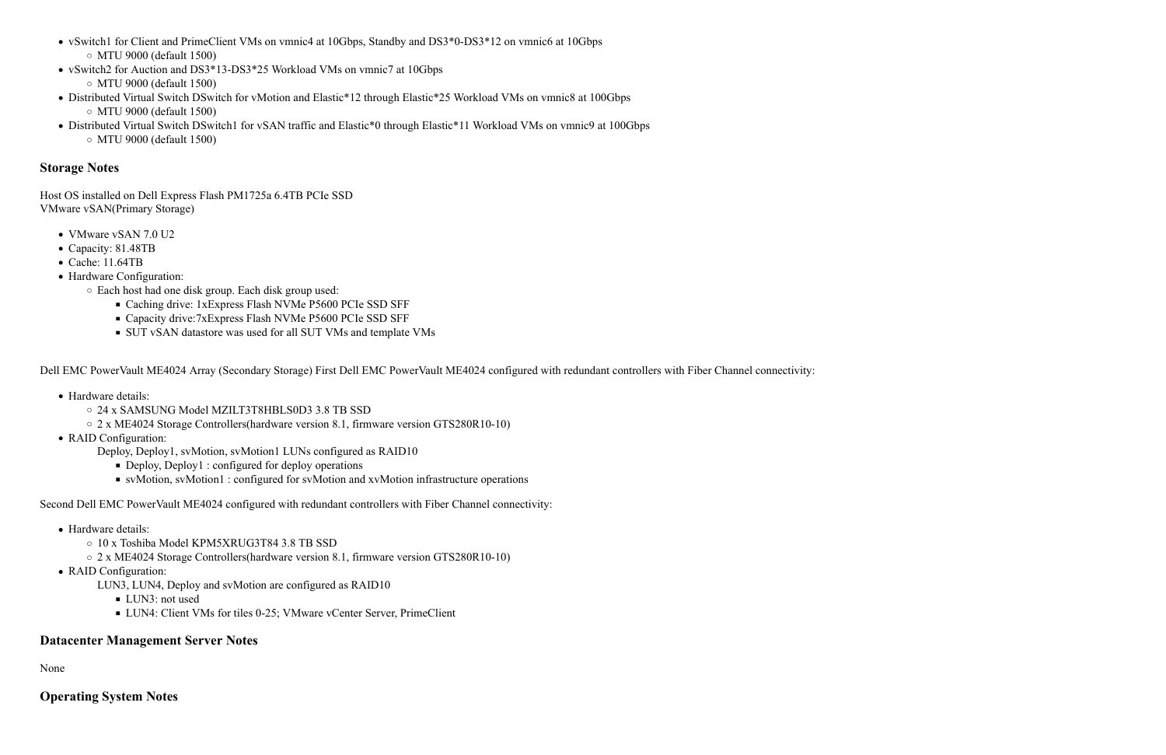- vSwitch1 for Client and PrimeClient VMs on vmnic4 at 10Gbps, Standby and DS3\*0-DS3\*12 on vmnic6 at 10Gbps MTU 9000 (default 1500)
- vSwitch2 for Auction and DS3\*13-DS3\*25 Workload VMs on vmnic7 at 10Gbps MTU 9000 (default 1500)
- Distributed Virtual Switch DSwitch for vMotion and Elastic\*12 through Elastic\*25 Workload VMs on vmnic8 at 100Gbps MTU 9000 (default 1500)
- Distributed Virtual Switch DSwitch1 for vSAN traffic and Elastic\*0 through Elastic\*11 Workload VMs on vmnic9 at 100Gbps MTU 9000 (default 1500)

#### **Storage Notes**

Host OS installed on Dell Express Flash PM1725a 6.4TB PCIe SSD VMware vSAN(Primary Storage)

- Hardware details:
	- 24 x SAMSUNG Model MZILT3T8HBLS0D3 3.8 TB SSD
	- 2 x ME4024 Storage Controllers(hardware version 8.1, firmware version GTS280R10-10)
- RAID Configuration:
	- Deploy, Deploy1, svMotion, svMotion1 LUNs configured as RAID10
		- Deploy, Deploy1 : configured for deploy operations
		- svMotion, svMotion1 : configured for svMotion and xvMotion infrastructure operations
- VMware vSAN 7.0 U2
- Capacity: 81.48TB
- Cache: 11.64TB
- Hardware Configuration:
	- Each host had one disk group. Each disk group used:
		- Caching drive: 1xExpress Flash NVMe P5600 PCIe SSD SFF
		- Capacity drive:7xExpress Flash NVMe P5600 PCIe SSD SFF
		- SUT vSAN datastore was used for all SUT VMs and template VMs

Dell EMC PowerVault ME4024 Array (Secondary Storage) First Dell EMC PowerVault ME4024 configured with redundant controllers with Fiber Channel connectivity:

Second Dell EMC PowerVault ME4024 configured with redundant controllers with Fiber Channel connectivity:

- Hardware details:
	- 10 x Toshiba Model KPM5XRUG3T84 3.8 TB SSD
	- 2 x ME4024 Storage Controllers(hardware version 8.1, firmware version GTS280R10-10)
- RAID Configuration:
	- LUN3, LUN4, Deploy and svMotion are configured as RAID10
		- **LUN3**: not used
		- LUN4: Client VMs for tiles 0-25; VMware vCenter Server, PrimeClient

### **Datacenter Management Server Notes**

None

### **Operating System Notes**